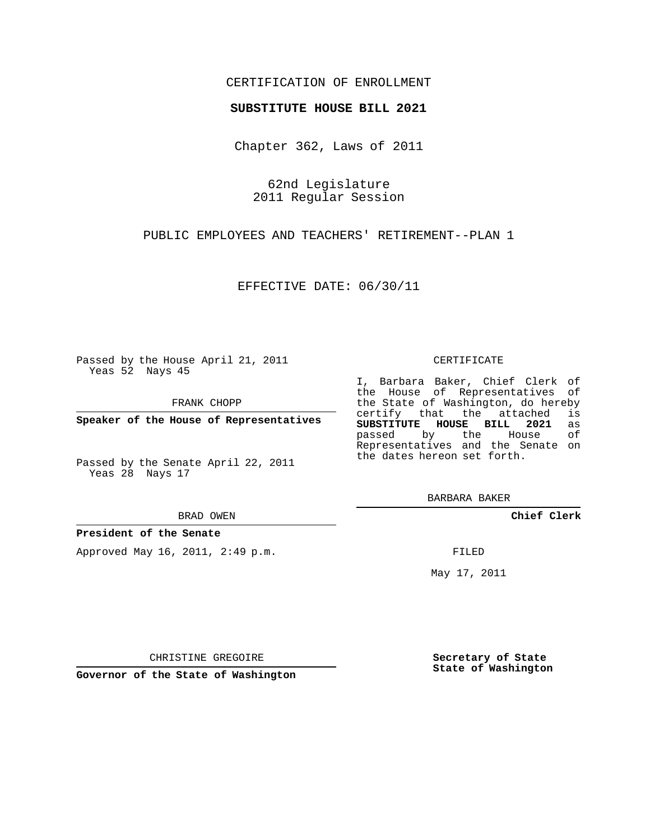## CERTIFICATION OF ENROLLMENT

### **SUBSTITUTE HOUSE BILL 2021**

Chapter 362, Laws of 2011

62nd Legislature 2011 Regular Session

PUBLIC EMPLOYEES AND TEACHERS' RETIREMENT--PLAN 1

EFFECTIVE DATE: 06/30/11

Passed by the House April 21, 2011 Yeas 52 Nays 45

FRANK CHOPP

**Speaker of the House of Representatives**

Passed by the Senate April 22, 2011 Yeas 28 Nays 17

#### BRAD OWEN

**President of the Senate**

Approved May 16, 2011, 2:49 p.m.

#### CERTIFICATE

I, Barbara Baker, Chief Clerk of the House of Representatives of the State of Washington, do hereby<br>certify that the attached is certify that the attached is<br>SUBSTITUTE HOUSE BILL 2021 as **SUBSTITUTE HOUSE BILL 2021** as passed by the House Representatives and the Senate on the dates hereon set forth.

BARBARA BAKER

**Chief Clerk**

FILED

May 17, 2011

**Secretary of State State of Washington**

CHRISTINE GREGOIRE

**Governor of the State of Washington**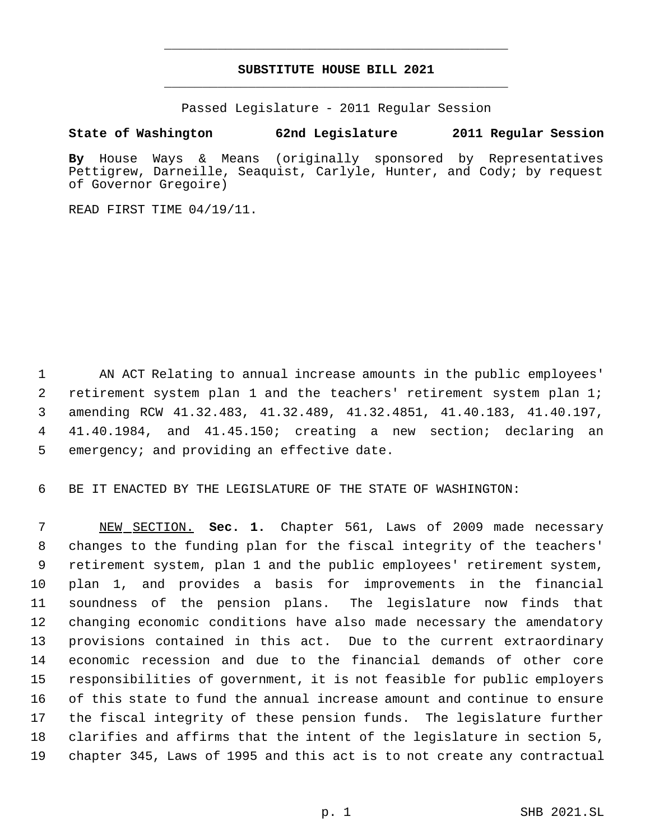# **SUBSTITUTE HOUSE BILL 2021** \_\_\_\_\_\_\_\_\_\_\_\_\_\_\_\_\_\_\_\_\_\_\_\_\_\_\_\_\_\_\_\_\_\_\_\_\_\_\_\_\_\_\_\_\_

\_\_\_\_\_\_\_\_\_\_\_\_\_\_\_\_\_\_\_\_\_\_\_\_\_\_\_\_\_\_\_\_\_\_\_\_\_\_\_\_\_\_\_\_\_

Passed Legislature - 2011 Regular Session

## **State of Washington 62nd Legislature 2011 Regular Session**

**By** House Ways & Means (originally sponsored by Representatives Pettigrew, Darneille, Seaquist, Carlyle, Hunter, and Cody; by request of Governor Gregoire)

READ FIRST TIME 04/19/11.

 AN ACT Relating to annual increase amounts in the public employees' retirement system plan 1 and the teachers' retirement system plan 1; amending RCW 41.32.483, 41.32.489, 41.32.4851, 41.40.183, 41.40.197, 41.40.1984, and 41.45.150; creating a new section; declaring an emergency; and providing an effective date.

BE IT ENACTED BY THE LEGISLATURE OF THE STATE OF WASHINGTON:

 NEW SECTION. **Sec. 1.** Chapter 561, Laws of 2009 made necessary changes to the funding plan for the fiscal integrity of the teachers' retirement system, plan 1 and the public employees' retirement system, plan 1, and provides a basis for improvements in the financial soundness of the pension plans. The legislature now finds that changing economic conditions have also made necessary the amendatory provisions contained in this act. Due to the current extraordinary economic recession and due to the financial demands of other core responsibilities of government, it is not feasible for public employers of this state to fund the annual increase amount and continue to ensure the fiscal integrity of these pension funds. The legislature further clarifies and affirms that the intent of the legislature in section 5, chapter 345, Laws of 1995 and this act is to not create any contractual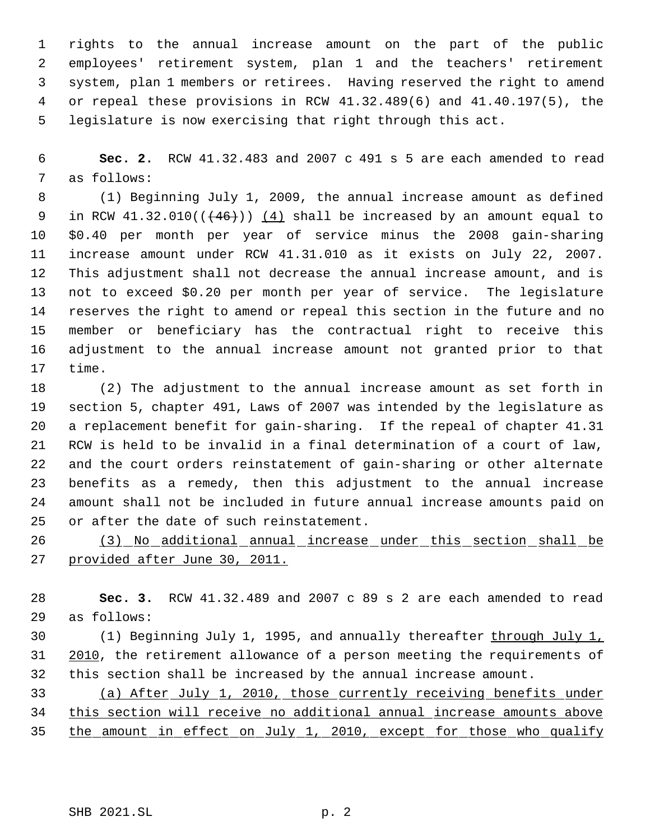rights to the annual increase amount on the part of the public employees' retirement system, plan 1 and the teachers' retirement system, plan 1 members or retirees. Having reserved the right to amend or repeal these provisions in RCW 41.32.489(6) and 41.40.197(5), the legislature is now exercising that right through this act.

 **Sec. 2.** RCW 41.32.483 and 2007 c 491 s 5 are each amended to read as follows:

 (1) Beginning July 1, 2009, the annual increase amount as defined 9 in RCW  $41.32.010$  ( $(46+)$ ) (4) shall be increased by an amount equal to \$0.40 per month per year of service minus the 2008 gain-sharing increase amount under RCW 41.31.010 as it exists on July 22, 2007. This adjustment shall not decrease the annual increase amount, and is not to exceed \$0.20 per month per year of service. The legislature reserves the right to amend or repeal this section in the future and no member or beneficiary has the contractual right to receive this adjustment to the annual increase amount not granted prior to that time.

 (2) The adjustment to the annual increase amount as set forth in section 5, chapter 491, Laws of 2007 was intended by the legislature as a replacement benefit for gain-sharing. If the repeal of chapter 41.31 RCW is held to be invalid in a final determination of a court of law, and the court orders reinstatement of gain-sharing or other alternate benefits as a remedy, then this adjustment to the annual increase amount shall not be included in future annual increase amounts paid on or after the date of such reinstatement.

 (3) No additional annual increase under this section shall be provided after June 30, 2011.

 **Sec. 3.** RCW 41.32.489 and 2007 c 89 s 2 are each amended to read as follows:

 (1) Beginning July 1, 1995, and annually thereafter through July 1, 31 2010, the retirement allowance of a person meeting the requirements of this section shall be increased by the annual increase amount.

 (a) After July 1, 2010, those currently receiving benefits under this section will receive no additional annual increase amounts above the amount in effect on July 1, 2010, except for those who qualify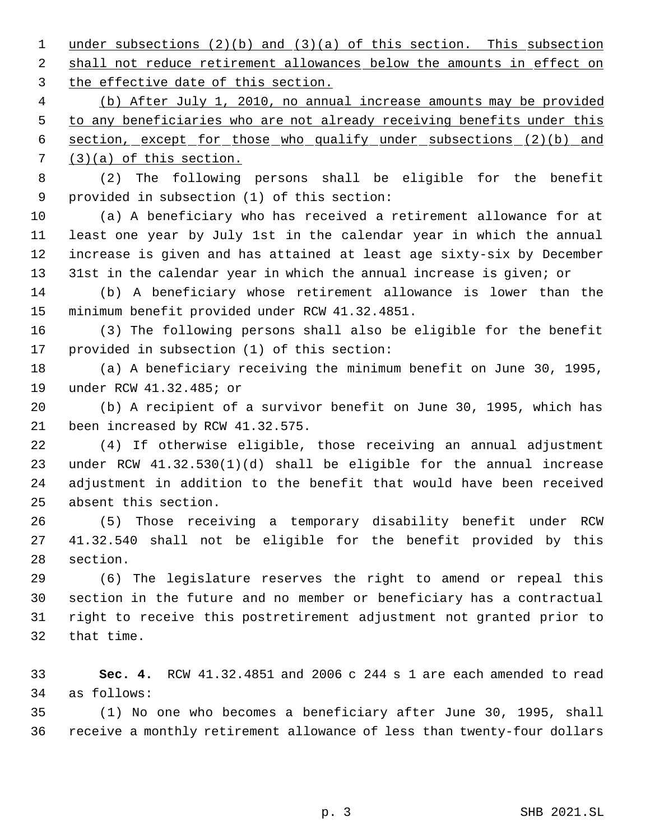1 under subsections (2)(b) and (3)(a) of this section. This subsection 2 shall not reduce retirement allowances below the amounts in effect on 3 the effective date of this section.

 (b) After July 1, 2010, no annual increase amounts may be provided 5 to any beneficiaries who are not already receiving benefits under this section, except for those who qualify under subsections (2)(b) and (3)(a) of this section.

 (2) The following persons shall be eligible for the benefit provided in subsection (1) of this section:

 (a) A beneficiary who has received a retirement allowance for at least one year by July 1st in the calendar year in which the annual increase is given and has attained at least age sixty-six by December 31st in the calendar year in which the annual increase is given; or

 (b) A beneficiary whose retirement allowance is lower than the minimum benefit provided under RCW 41.32.4851.

 (3) The following persons shall also be eligible for the benefit provided in subsection (1) of this section:

 (a) A beneficiary receiving the minimum benefit on June 30, 1995, under RCW 41.32.485; or

 (b) A recipient of a survivor benefit on June 30, 1995, which has been increased by RCW 41.32.575.

 (4) If otherwise eligible, those receiving an annual adjustment under RCW 41.32.530(1)(d) shall be eligible for the annual increase adjustment in addition to the benefit that would have been received absent this section.

 (5) Those receiving a temporary disability benefit under RCW 41.32.540 shall not be eligible for the benefit provided by this section.

 (6) The legislature reserves the right to amend or repeal this section in the future and no member or beneficiary has a contractual right to receive this postretirement adjustment not granted prior to that time.

 **Sec. 4.** RCW 41.32.4851 and 2006 c 244 s 1 are each amended to read as follows:

 (1) No one who becomes a beneficiary after June 30, 1995, shall receive a monthly retirement allowance of less than twenty-four dollars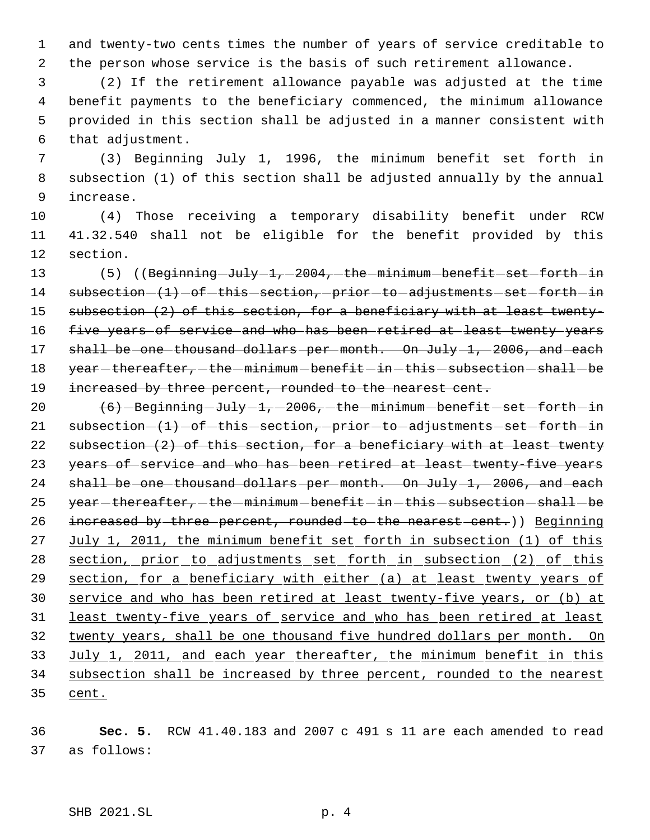1 and twenty-two cents times the number of years of service creditable to 2 the person whose service is the basis of such retirement allowance.

 (2) If the retirement allowance payable was adjusted at the time benefit payments to the beneficiary commenced, the minimum allowance provided in this section shall be adjusted in a manner consistent with that adjustment.

 7 (3) Beginning July 1, 1996, the minimum benefit set forth in 8 subsection (1) of this section shall be adjusted annually by the annual 9 increase.

10 (4) Those receiving a temporary disability benefit under RCW 11 41.32.540 shall not be eligible for the benefit provided by this 12 section.

13 (5) ((Beginning July 1, 2004, the minimum benefit set forth in 14 subsection  $(1)$  -of -this -section, prior -to -adjustments -set -forth -in 15 subsection (2) of this section, for a beneficiary with at least twenty-16 five years of service and who has been retired at least twenty years 17 shall be one thousand dollars per month. On July 1, 2006, and each 18 year - thereafter, - the - minimum - benefit - in - this - subsection - shall - be 19 increased by three percent, rounded to the nearest cent.

20  $(6)$  Beginning July 1, 2006, the minimum benefit set forth in 21  $subsection-(1)-of-this-section, -prior-to-adjustments-set–forth-in$ 22 subsection (2) of this section, for a beneficiary with at least twenty 23 years of service and who has been retired at least twenty-five years 24 shall be one thousand dollars per month. On July 1, 2006, and each  $25$  year - thereafter, - the - minimum - benefit - in - this - subsection - shall - be 26 increased by three percent, rounded to the nearest cent.)) Beginning 27 July 1, 2011, the minimum benefit set forth in subsection (1) of this 28 section, prior to adjustments set forth in subsection (2) of this 29 section, for a beneficiary with either (a) at least twenty years of 30 service and who has been retired at least twenty-five years, or (b) at 31 least twenty-five years of service and who has been retired at least 32 twenty years, shall be one thousand five hundred dollars per month. On 33 July 1, 2011, and each year thereafter, the minimum benefit in this 34 subsection shall be increased by three percent, rounded to the nearest 35 cent.

36 **Sec. 5.** RCW 41.40.183 and 2007 c 491 s 11 are each amended to read 37 as follows: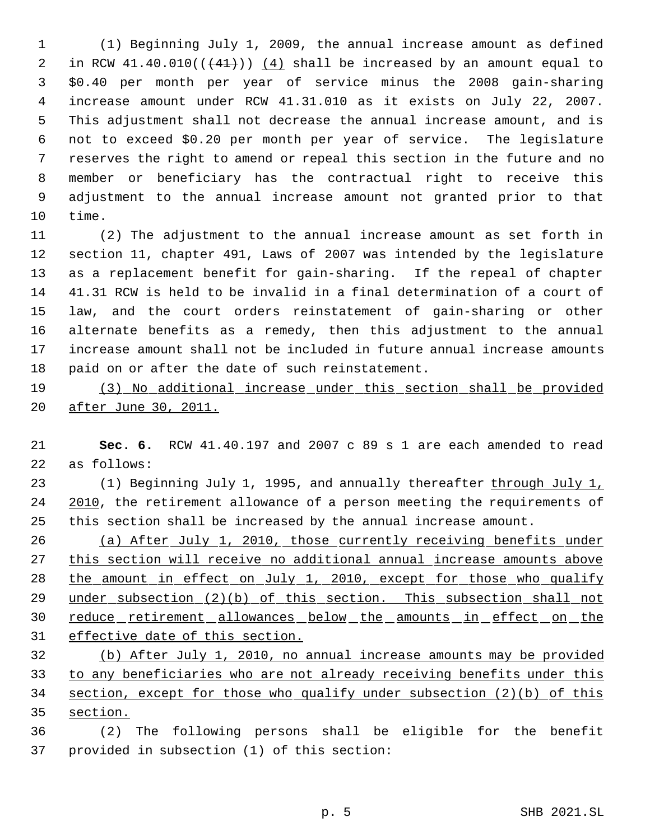(1) Beginning July 1, 2009, the annual increase amount as defined 2 in RCW  $41.40.010((441))$   $(4)$  shall be increased by an amount equal to \$0.40 per month per year of service minus the 2008 gain-sharing increase amount under RCW 41.31.010 as it exists on July 22, 2007. This adjustment shall not decrease the annual increase amount, and is not to exceed \$0.20 per month per year of service. The legislature reserves the right to amend or repeal this section in the future and no member or beneficiary has the contractual right to receive this adjustment to the annual increase amount not granted prior to that time.

 (2) The adjustment to the annual increase amount as set forth in section 11, chapter 491, Laws of 2007 was intended by the legislature as a replacement benefit for gain-sharing. If the repeal of chapter 41.31 RCW is held to be invalid in a final determination of a court of law, and the court orders reinstatement of gain-sharing or other alternate benefits as a remedy, then this adjustment to the annual increase amount shall not be included in future annual increase amounts paid on or after the date of such reinstatement.

 (3) No additional increase under this section shall be provided after June 30, 2011.

 **Sec. 6.** RCW 41.40.197 and 2007 c 89 s 1 are each amended to read as follows:

23 (1) Beginning July 1, 1995, and annually thereafter through July 1, 2010, the retirement allowance of a person meeting the requirements of this section shall be increased by the annual increase amount.

 (a) After July 1, 2010, those currently receiving benefits under 27 this section will receive no additional annual increase amounts above 28 the amount in effect on July 1, 2010, except for those who qualify 29 under subsection (2)(b) of this section. This subsection shall not 30 reduce retirement allowances below the amounts in effect on the effective date of this section.

 (b) After July 1, 2010, no annual increase amounts may be provided 33 to any beneficiaries who are not already receiving benefits under this section, except for those who qualify under subsection (2)(b) of this section.

 (2) The following persons shall be eligible for the benefit provided in subsection (1) of this section: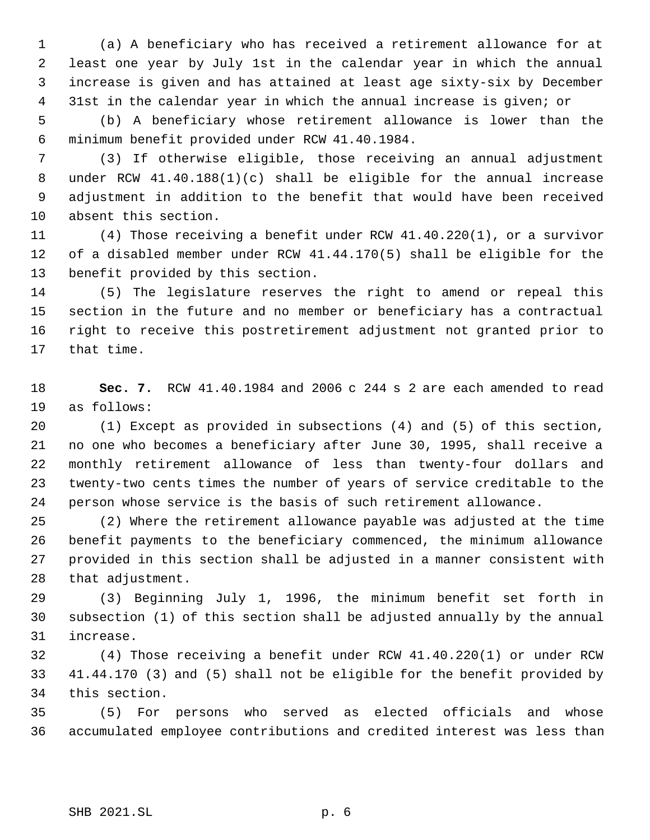(a) A beneficiary who has received a retirement allowance for at least one year by July 1st in the calendar year in which the annual increase is given and has attained at least age sixty-six by December 31st in the calendar year in which the annual increase is given; or

 (b) A beneficiary whose retirement allowance is lower than the minimum benefit provided under RCW 41.40.1984.

 (3) If otherwise eligible, those receiving an annual adjustment under RCW 41.40.188(1)(c) shall be eligible for the annual increase adjustment in addition to the benefit that would have been received absent this section.

 (4) Those receiving a benefit under RCW 41.40.220(1), or a survivor of a disabled member under RCW 41.44.170(5) shall be eligible for the benefit provided by this section.

 (5) The legislature reserves the right to amend or repeal this section in the future and no member or beneficiary has a contractual right to receive this postretirement adjustment not granted prior to that time.

 **Sec. 7.** RCW 41.40.1984 and 2006 c 244 s 2 are each amended to read as follows:

 (1) Except as provided in subsections (4) and (5) of this section, no one who becomes a beneficiary after June 30, 1995, shall receive a monthly retirement allowance of less than twenty-four dollars and twenty-two cents times the number of years of service creditable to the person whose service is the basis of such retirement allowance.

 (2) Where the retirement allowance payable was adjusted at the time benefit payments to the beneficiary commenced, the minimum allowance provided in this section shall be adjusted in a manner consistent with that adjustment.

 (3) Beginning July 1, 1996, the minimum benefit set forth in subsection (1) of this section shall be adjusted annually by the annual increase.

 (4) Those receiving a benefit under RCW 41.40.220(1) or under RCW 41.44.170 (3) and (5) shall not be eligible for the benefit provided by this section.

 (5) For persons who served as elected officials and whose accumulated employee contributions and credited interest was less than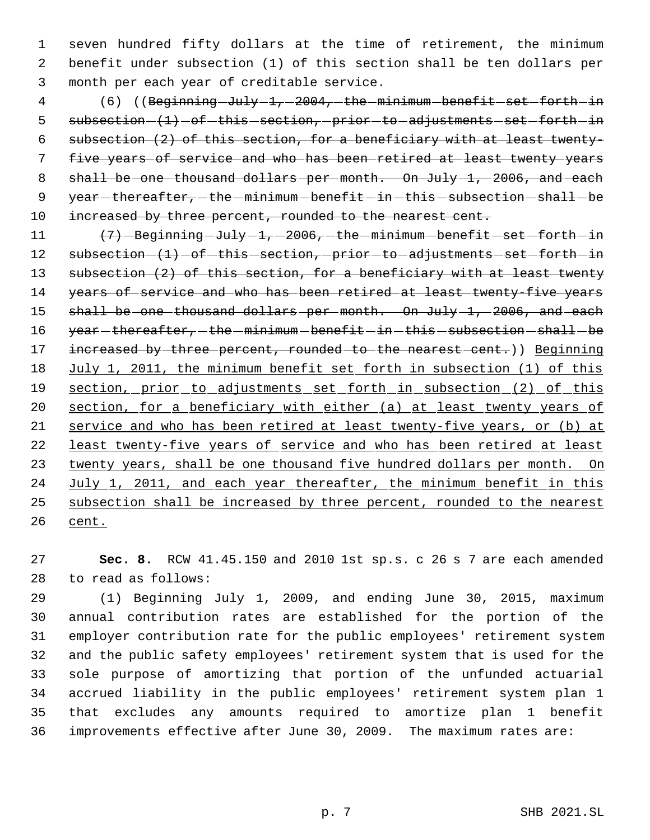1 seven hundred fifty dollars at the time of retirement, the minimum 2 benefit under subsection (1) of this section shall be ten dollars per 3 month per each year of creditable service.

4 (6) ((Beginning-July-1,-2004,-the-minimum-benefit-set-forth-in 5  $subsection-(1)-of-this-section, -prior-to-adjustments-set–forth-in$  6 subsection (2) of this section, for a beneficiary with at least twenty- 7 five years of service and who has been retired at least twenty years 8 shall be one thousand dollars per month. On July 1, 2006, and each 9  $year - thereafter$ ,  $-$  the  $-minimum - benefit - in - this - subsection - shall - be$ 10 increased by three percent, rounded to the nearest cent.

 $11$   $(7)$  -Beginning  $Ju$ ly  $-1$ ,  $-2006$ ,  $-$  the  $-$  minimum  $-$  benefit  $-$  set  $-$  forth  $-$  in 12 subsection  $(1)$  -of-this section, prior to adjustments set forth in 13 subsection (2) of this section, for a beneficiary with at least twenty 14 years of service and who has been retired at least twenty-five years 15 shall be one thousand dollars per month. On July 1, 2006, and each 16 year-thereafter, -the -minimum -benefit -in -this -subsection -shall -be 17 increased by three percent, rounded to the nearest cent.)) Beginning 18 July 1, 2011, the minimum benefit set forth in subsection (1) of this 19 section, prior to adjustments set forth in subsection (2) of this 20 section, for a beneficiary with either (a) at least twenty years of 21 service and who has been retired at least twenty-five years, or (b) at 22 least twenty-five years of service and who has been retired at least 23 twenty years, shall be one thousand five hundred dollars per month. On 24 July 1, 2011, and each year thereafter, the minimum benefit in this 25 subsection shall be increased by three percent, rounded to the nearest 26 cent.

27 **Sec. 8.** RCW 41.45.150 and 2010 1st sp.s. c 26 s 7 are each amended 28 to read as follows:

 (1) Beginning July 1, 2009, and ending June 30, 2015, maximum annual contribution rates are established for the portion of the employer contribution rate for the public employees' retirement system and the public safety employees' retirement system that is used for the sole purpose of amortizing that portion of the unfunded actuarial accrued liability in the public employees' retirement system plan 1 that excludes any amounts required to amortize plan 1 benefit improvements effective after June 30, 2009. The maximum rates are: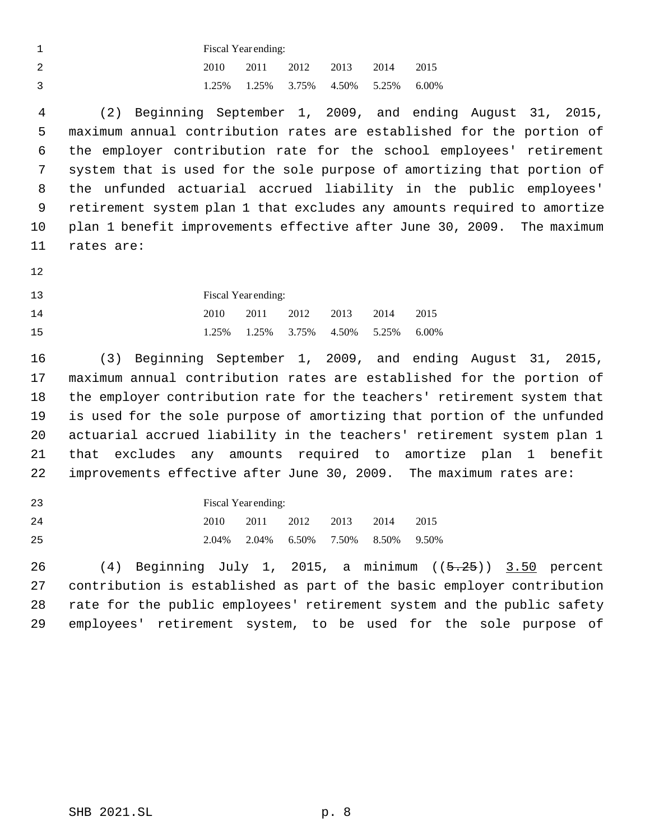| Fiscal Year ending: |      |  |                |                                           |      |  |  |  |
|---------------------|------|--|----------------|-------------------------------------------|------|--|--|--|
| 2010                | 2011 |  | 2012 2013 2014 |                                           | 2015 |  |  |  |
|                     |      |  |                | 1.25\% 1.25\% 3.75\% 4.50\% 5.25\% 6.00\% |      |  |  |  |

 (2) Beginning September 1, 2009, and ending August 31, 2015, maximum annual contribution rates are established for the portion of the employer contribution rate for the school employees' retirement system that is used for the sole purpose of amortizing that portion of the unfunded actuarial accrued liability in the public employees' retirement system plan 1 that excludes any amounts required to amortize plan 1 benefit improvements effective after June 30, 2009. The maximum rates are:

Fiscal Year ending:

| 14 |  |  | 2010 2011 2012 2013 2014 2015             |  |
|----|--|--|-------------------------------------------|--|
| 15 |  |  | 1.25\% 1.25\% 3.75\% 4.50\% 5.25\% 6.00\% |  |

 (3) Beginning September 1, 2009, and ending August 31, 2015, maximum annual contribution rates are established for the portion of the employer contribution rate for the teachers' retirement system that is used for the sole purpose of amortizing that portion of the unfunded actuarial accrued liability in the teachers' retirement system plan 1 that excludes any amounts required to amortize plan 1 benefit improvements effective after June 30, 2009. The maximum rates are:

 Fiscal Year ending: 2010 2011 2012 2013 2014 2015 2.04% 2.04% 6.50% 7.50% 8.50% 9.50%

 $(4)$  Beginning July 1, 2015, a minimum  $(5.25)$  3.50 percent contribution is established as part of the basic employer contribution rate for the public employees' retirement system and the public safety employees' retirement system, to be used for the sole purpose of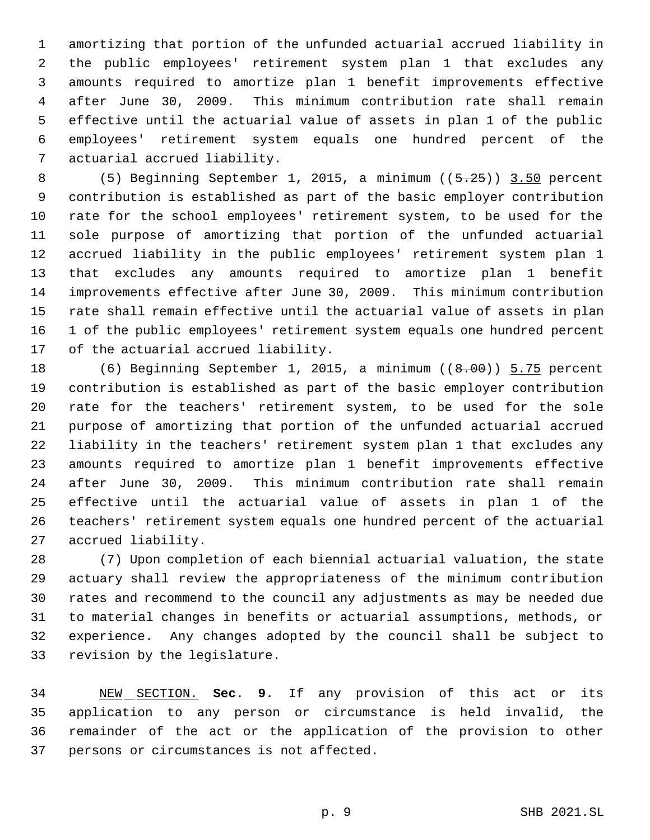amortizing that portion of the unfunded actuarial accrued liability in the public employees' retirement system plan 1 that excludes any amounts required to amortize plan 1 benefit improvements effective after June 30, 2009. This minimum contribution rate shall remain effective until the actuarial value of assets in plan 1 of the public employees' retirement system equals one hundred percent of the actuarial accrued liability.

 (5) Beginning September 1, 2015, a minimum ((5.25)) 3.50 percent contribution is established as part of the basic employer contribution rate for the school employees' retirement system, to be used for the sole purpose of amortizing that portion of the unfunded actuarial accrued liability in the public employees' retirement system plan 1 that excludes any amounts required to amortize plan 1 benefit improvements effective after June 30, 2009. This minimum contribution rate shall remain effective until the actuarial value of assets in plan 1 of the public employees' retirement system equals one hundred percent of the actuarial accrued liability.

18 (6) Beginning September 1, 2015, a minimum ((8.00)) 5.75 percent contribution is established as part of the basic employer contribution rate for the teachers' retirement system, to be used for the sole purpose of amortizing that portion of the unfunded actuarial accrued liability in the teachers' retirement system plan 1 that excludes any amounts required to amortize plan 1 benefit improvements effective after June 30, 2009. This minimum contribution rate shall remain effective until the actuarial value of assets in plan 1 of the teachers' retirement system equals one hundred percent of the actuarial accrued liability.

 (7) Upon completion of each biennial actuarial valuation, the state actuary shall review the appropriateness of the minimum contribution rates and recommend to the council any adjustments as may be needed due to material changes in benefits or actuarial assumptions, methods, or experience. Any changes adopted by the council shall be subject to revision by the legislature.

 NEW SECTION. **Sec. 9.** If any provision of this act or its application to any person or circumstance is held invalid, the remainder of the act or the application of the provision to other persons or circumstances is not affected.